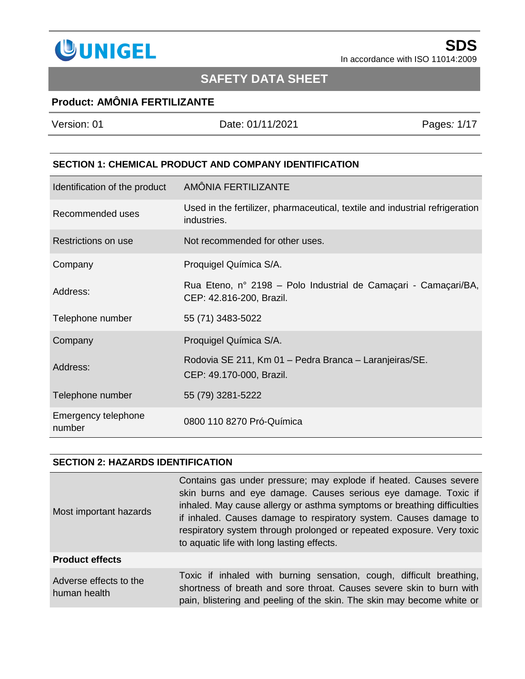

## **SAFETY DATA SHEET**

### **Product: AMÔNIA FERTILIZANTE**

| Version: 01 | Date: 01/11/2021 | Pages: 1/17 |
|-------------|------------------|-------------|
|             |                  |             |
|             |                  |             |

### **SECTION 1: CHEMICAL PRODUCT AND COMPANY IDENTIFICATION**

| Identification of the product | AMÔNIA FERTILIZANTE                                                                         |
|-------------------------------|---------------------------------------------------------------------------------------------|
| Recommended uses              | Used in the fertilizer, pharmaceutical, textile and industrial refrigeration<br>industries. |
| Restrictions on use           | Not recommended for other uses.                                                             |
| Company                       | Proquigel Química S/A.                                                                      |
| Address:                      | Rua Eteno, nº 2198 – Polo Industrial de Camaçari - Camaçari/BA,<br>CEP: 42.816-200, Brazil. |
| Telephone number              | 55 (71) 3483-5022                                                                           |
| Company                       | Proquigel Química S/A.                                                                      |
| Address:                      | Rodovia SE 211, Km 01 - Pedra Branca - Laranjeiras/SE.<br>CEP: 49.170-000, Brazil.          |
| Telephone number              | 55 (79) 3281-5222                                                                           |
| Emergency telephone<br>number | 0800 110 8270 Pró-Química                                                                   |

### **SECTION 2: HAZARDS IDENTIFICATION**

| Most important hazards                 | Contains gas under pressure; may explode if heated. Causes severe<br>skin burns and eye damage. Causes serious eye damage. Toxic if<br>inhaled. May cause allergy or asthma symptoms or breathing difficulties<br>if inhaled. Causes damage to respiratory system. Causes damage to<br>respiratory system through prolonged or repeated exposure. Very toxic<br>to aquatic life with long lasting effects. |
|----------------------------------------|------------------------------------------------------------------------------------------------------------------------------------------------------------------------------------------------------------------------------------------------------------------------------------------------------------------------------------------------------------------------------------------------------------|
| <b>Product effects</b>                 |                                                                                                                                                                                                                                                                                                                                                                                                            |
| Adverse effects to the<br>human health | Toxic if inhaled with burning sensation, cough, difficult breathing,<br>shortness of breath and sore throat. Causes severe skin to burn with<br>pain, blistering and peeling of the skin. The skin may become white or                                                                                                                                                                                     |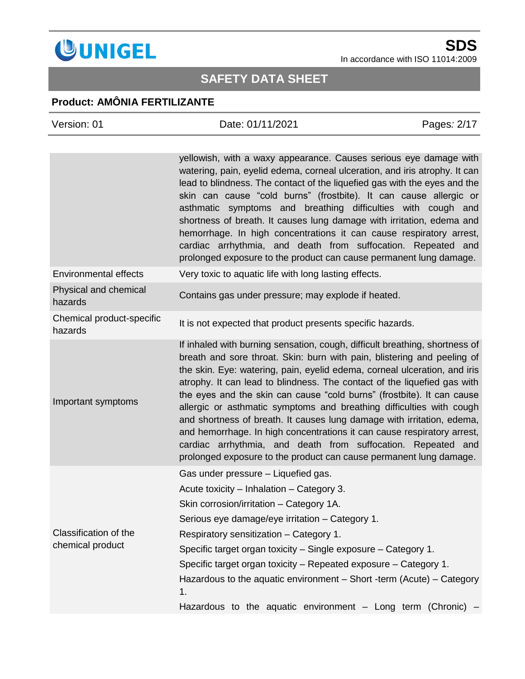

# **SAFETY DATA SHEET**

## **Product: AMÔNIA FERTILIZANTE**

| Version: 01                               | Date: 01/11/2021                                                                                                                                                                                                                                                                                                                                                                                                                                                                                                                                                                                                                                                                                                                                             | Pages: 2/17 |
|-------------------------------------------|--------------------------------------------------------------------------------------------------------------------------------------------------------------------------------------------------------------------------------------------------------------------------------------------------------------------------------------------------------------------------------------------------------------------------------------------------------------------------------------------------------------------------------------------------------------------------------------------------------------------------------------------------------------------------------------------------------------------------------------------------------------|-------------|
|                                           | yellowish, with a waxy appearance. Causes serious eye damage with<br>watering, pain, eyelid edema, corneal ulceration, and iris atrophy. It can<br>lead to blindness. The contact of the liquefied gas with the eyes and the<br>skin can cause "cold burns" (frostbite). It can cause allergic or<br>asthmatic symptoms and breathing difficulties with cough and                                                                                                                                                                                                                                                                                                                                                                                            |             |
|                                           | shortness of breath. It causes lung damage with irritation, edema and<br>hemorrhage. In high concentrations it can cause respiratory arrest,<br>cardiac arrhythmia, and death from suffocation. Repeated and<br>prolonged exposure to the product can cause permanent lung damage.                                                                                                                                                                                                                                                                                                                                                                                                                                                                           |             |
| <b>Environmental effects</b>              | Very toxic to aquatic life with long lasting effects.                                                                                                                                                                                                                                                                                                                                                                                                                                                                                                                                                                                                                                                                                                        |             |
| Physical and chemical<br>hazards          | Contains gas under pressure; may explode if heated.                                                                                                                                                                                                                                                                                                                                                                                                                                                                                                                                                                                                                                                                                                          |             |
| Chemical product-specific<br>hazards      | It is not expected that product presents specific hazards.                                                                                                                                                                                                                                                                                                                                                                                                                                                                                                                                                                                                                                                                                                   |             |
| Important symptoms                        | If inhaled with burning sensation, cough, difficult breathing, shortness of<br>breath and sore throat. Skin: burn with pain, blistering and peeling of<br>the skin. Eye: watering, pain, eyelid edema, corneal ulceration, and iris<br>atrophy. It can lead to blindness. The contact of the liquefied gas with<br>the eyes and the skin can cause "cold burns" (frostbite). It can cause<br>allergic or asthmatic symptoms and breathing difficulties with cough<br>and shortness of breath. It causes lung damage with irritation, edema,<br>and hemorrhage. In high concentrations it can cause respiratory arrest,<br>cardiac arrhythmia, and death from suffocation. Repeated and<br>prolonged exposure to the product can cause permanent lung damage. |             |
| Classification of the<br>chemical product | Gas under pressure - Liquefied gas.<br>Acute toxicity - Inhalation - Category 3.<br>Skin corrosion/irritation - Category 1A.<br>Serious eye damage/eye irritation – Category 1.<br>Respiratory sensitization - Category 1.<br>Specific target organ toxicity – Single exposure – Category 1.<br>Specific target organ toxicity – Repeated exposure – Category 1.<br>Hazardous to the aquatic environment $-$ Short -term (Acute) $-$ Category<br>1.<br>Hazardous to the aquatic environment - Long term (Chronic)                                                                                                                                                                                                                                            |             |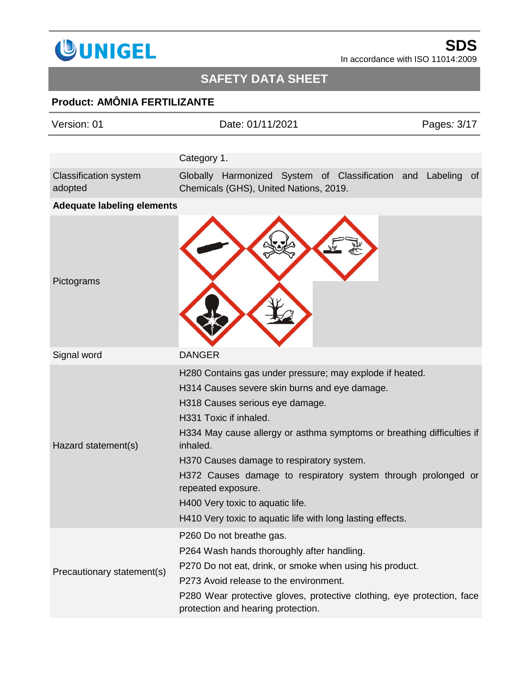

# **SAFETY DATA SHEET**

# **Product: AMÔNIA FERTILIZANTE**

| Version: 01                             | Date: 01/11/2021                                                                                             | Pages: 3/17 |
|-----------------------------------------|--------------------------------------------------------------------------------------------------------------|-------------|
|                                         |                                                                                                              |             |
|                                         | Category 1.                                                                                                  |             |
| <b>Classification system</b><br>adopted | Globally Harmonized System of Classification and Labeling<br>Chemicals (GHS), United Nations, 2019.          | 0f          |
| <b>Adequate labeling elements</b>       |                                                                                                              |             |
| Pictograms                              |                                                                                                              |             |
| Signal word                             | <b>DANGER</b>                                                                                                |             |
|                                         | H280 Contains gas under pressure; may explode if heated.                                                     |             |
|                                         | H314 Causes severe skin burns and eye damage.                                                                |             |
|                                         | H318 Causes serious eye damage.                                                                              |             |
|                                         | H331 Toxic if inhaled.                                                                                       |             |
| Hazard statement(s)                     | H334 May cause allergy or asthma symptoms or breathing difficulties if<br>inhaled.                           |             |
|                                         | H370 Causes damage to respiratory system.                                                                    |             |
|                                         | H372 Causes damage to respiratory system through prolonged or<br>repeated exposure.                          |             |
|                                         | H400 Very toxic to aquatic life.                                                                             |             |
|                                         | H410 Very toxic to aquatic life with long lasting effects.                                                   |             |
|                                         | P260 Do not breathe gas.                                                                                     |             |
|                                         | P264 Wash hands thoroughly after handling.                                                                   |             |
| Precautionary statement(s)              | P270 Do not eat, drink, or smoke when using his product.                                                     |             |
|                                         | P273 Avoid release to the environment.                                                                       |             |
|                                         | P280 Wear protective gloves, protective clothing, eye protection, face<br>protection and hearing protection. |             |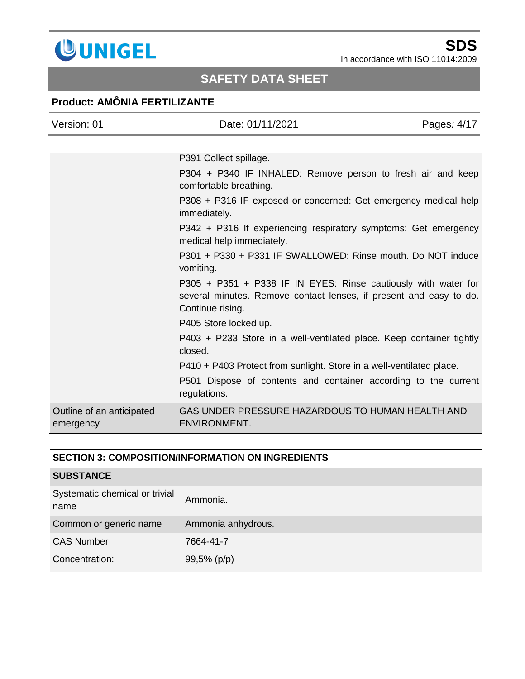

# **SAFETY DATA SHEET**

## **Product: AMÔNIA FERTILIZANTE**

| Version: 01                            | Date: 01/11/2021                                                                                                                                         | Pages: 4/17 |
|----------------------------------------|----------------------------------------------------------------------------------------------------------------------------------------------------------|-------------|
|                                        |                                                                                                                                                          |             |
|                                        | P391 Collect spillage.                                                                                                                                   |             |
|                                        | P304 + P340 IF INHALED: Remove person to fresh air and keep<br>comfortable breathing.                                                                    |             |
|                                        | P308 + P316 IF exposed or concerned: Get emergency medical help<br>immediately.                                                                          |             |
|                                        | P342 + P316 If experiencing respiratory symptoms: Get emergency<br>medical help immediately.                                                             |             |
|                                        | P301 + P330 + P331 IF SWALLOWED: Rinse mouth. Do NOT induce<br>vomiting.                                                                                 |             |
|                                        | P305 + P351 + P338 IF IN EYES: Rinse cautiously with water for<br>several minutes. Remove contact lenses, if present and easy to do.<br>Continue rising. |             |
|                                        | P405 Store locked up.                                                                                                                                    |             |
|                                        | P403 + P233 Store in a well-ventilated place. Keep container tightly<br>closed.                                                                          |             |
|                                        | P410 + P403 Protect from sunlight. Store in a well-ventilated place.                                                                                     |             |
|                                        | P501 Dispose of contents and container according to the current<br>regulations.                                                                          |             |
| Outline of an anticipated<br>emergency | GAS UNDER PRESSURE HAZARDOUS TO HUMAN HEALTH AND<br><b>ENVIRONMENT.</b>                                                                                  |             |

### **SECTION 3: COMPOSITION/INFORMATION ON INGREDIENTS**

| <b>SUBSTANCE</b>                       |                    |
|----------------------------------------|--------------------|
| Systematic chemical or trivial<br>name | Ammonia.           |
| Common or generic name                 | Ammonia anhydrous. |
| <b>CAS Number</b>                      | 7664-41-7          |
| Concentration:                         | 99,5% (p/p)        |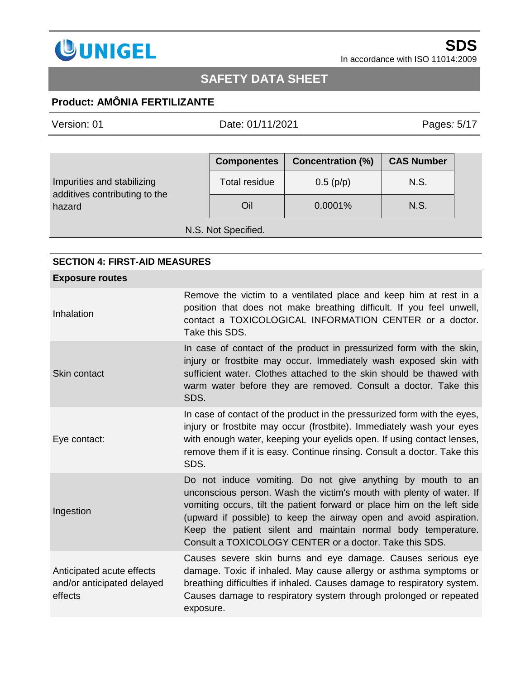

# **SAFETY DATA SHEET**

## **Product: AMÔNIA FERTILIZANTE**

Version: 01 Date: 01/11/2021 Pages*:* 5/17

|                                                             | <b>Componentes</b>   | <b>Concentration (%)</b> | <b>CAS Number</b> |
|-------------------------------------------------------------|----------------------|--------------------------|-------------------|
| Impurities and stabilizing<br>additives contributing to the | <b>Total residue</b> | 0.5(p/p)                 | N.S.              |
| hazard                                                      | Oil                  | 0.0001%                  | N.S.              |
| N.S. Not Specified.                                         |                      |                          |                   |

### **SECTION 4: FIRST-AID MEASURES**

| <b>Exposure routes</b>                                             |                                                                                                                                                                                                                                                                                                                                                                                                                  |
|--------------------------------------------------------------------|------------------------------------------------------------------------------------------------------------------------------------------------------------------------------------------------------------------------------------------------------------------------------------------------------------------------------------------------------------------------------------------------------------------|
| Inhalation                                                         | Remove the victim to a ventilated place and keep him at rest in a<br>position that does not make breathing difficult. If you feel unwell,<br>contact a TOXICOLOGICAL INFORMATION CENTER or a doctor.<br>Take this SDS.                                                                                                                                                                                           |
| Skin contact                                                       | In case of contact of the product in pressurized form with the skin,<br>injury or frostbite may occur. Immediately wash exposed skin with<br>sufficient water. Clothes attached to the skin should be thawed with<br>warm water before they are removed. Consult a doctor. Take this<br>SDS.                                                                                                                     |
| Eye contact:                                                       | In case of contact of the product in the pressurized form with the eyes,<br>injury or frostbite may occur (frostbite). Immediately wash your eyes<br>with enough water, keeping your eyelids open. If using contact lenses,<br>remove them if it is easy. Continue rinsing. Consult a doctor. Take this<br>SDS.                                                                                                  |
| Ingestion                                                          | Do not induce vomiting. Do not give anything by mouth to an<br>unconscious person. Wash the victim's mouth with plenty of water. If<br>vomiting occurs, tilt the patient forward or place him on the left side<br>(upward if possible) to keep the airway open and avoid aspiration.<br>Keep the patient silent and maintain normal body temperature.<br>Consult a TOXICOLOGY CENTER or a doctor. Take this SDS. |
| Anticipated acute effects<br>and/or anticipated delayed<br>effects | Causes severe skin burns and eye damage. Causes serious eye<br>damage. Toxic if inhaled. May cause allergy or asthma symptoms or<br>breathing difficulties if inhaled. Causes damage to respiratory system.<br>Causes damage to respiratory system through prolonged or repeated<br>exposure.                                                                                                                    |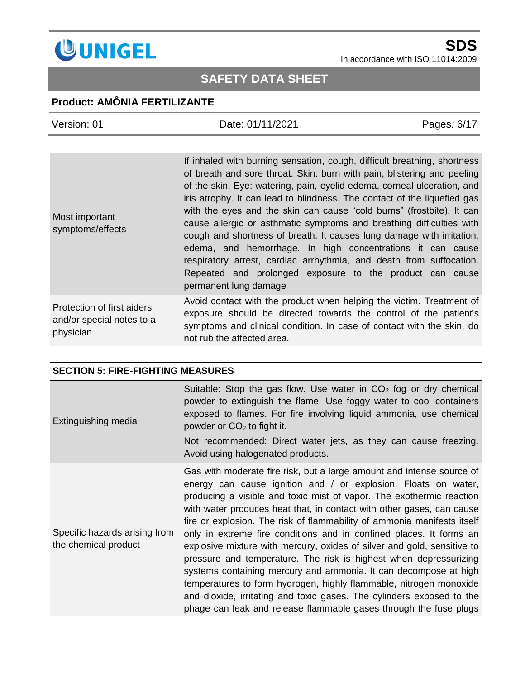

# **SAFETY DATA SHEET**

## **Product: AMÔNIA FERTILIZANTE**

| Version: 01                                                          | Date: 01/11/2021                                                                                                                                                                                                                                                                                                                                                                                                                                                                                                                                                                                                                                                                                                                                               | Pages: 6/17 |
|----------------------------------------------------------------------|----------------------------------------------------------------------------------------------------------------------------------------------------------------------------------------------------------------------------------------------------------------------------------------------------------------------------------------------------------------------------------------------------------------------------------------------------------------------------------------------------------------------------------------------------------------------------------------------------------------------------------------------------------------------------------------------------------------------------------------------------------------|-------------|
|                                                                      |                                                                                                                                                                                                                                                                                                                                                                                                                                                                                                                                                                                                                                                                                                                                                                |             |
| Most important<br>symptoms/effects                                   | If inhaled with burning sensation, cough, difficult breathing, shortness<br>of breath and sore throat. Skin: burn with pain, blistering and peeling<br>of the skin. Eye: watering, pain, eyelid edema, corneal ulceration, and<br>iris atrophy. It can lead to blindness. The contact of the liquefied gas<br>with the eyes and the skin can cause "cold burns" (frostbite). It can<br>cause allergic or asthmatic symptoms and breathing difficulties with<br>cough and shortness of breath. It causes lung damage with irritation,<br>edema, and hemorrhage. In high concentrations it can cause<br>respiratory arrest, cardiac arrhythmia, and death from suffocation.<br>Repeated and prolonged exposure to the product can cause<br>permanent lung damage |             |
| Protection of first aiders<br>and/or special notes to a<br>physician | Avoid contact with the product when helping the victim. Treatment of<br>exposure should be directed towards the control of the patient's<br>symptoms and clinical condition. In case of contact with the skin, do<br>not rub the affected area.                                                                                                                                                                                                                                                                                                                                                                                                                                                                                                                |             |

#### **SECTION 5: FIRE-FIGHTING MEASURES**

| Extinguishing media                                   | Suitable: Stop the gas flow. Use water in $CO2$ fog or dry chemical<br>powder to extinguish the flame. Use foggy water to cool containers<br>exposed to flames. For fire involving liquid ammonia, use chemical<br>powder or $CO2$ to fight it.<br>Not recommended: Direct water jets, as they can cause freezing.<br>Avoid using halogenated products.                                                                                                                                                                                                                                                                                                                                                                                                                                                                                                                            |
|-------------------------------------------------------|------------------------------------------------------------------------------------------------------------------------------------------------------------------------------------------------------------------------------------------------------------------------------------------------------------------------------------------------------------------------------------------------------------------------------------------------------------------------------------------------------------------------------------------------------------------------------------------------------------------------------------------------------------------------------------------------------------------------------------------------------------------------------------------------------------------------------------------------------------------------------------|
| Specific hazards arising from<br>the chemical product | Gas with moderate fire risk, but a large amount and intense source of<br>energy can cause ignition and / or explosion. Floats on water,<br>producing a visible and toxic mist of vapor. The exothermic reaction<br>with water produces heat that, in contact with other gases, can cause<br>fire or explosion. The risk of flammability of ammonia manifests itself<br>only in extreme fire conditions and in confined places. It forms an<br>explosive mixture with mercury, oxides of silver and gold, sensitive to<br>pressure and temperature. The risk is highest when depressurizing<br>systems containing mercury and ammonia. It can decompose at high<br>temperatures to form hydrogen, highly flammable, nitrogen monoxide<br>and dioxide, irritating and toxic gases. The cylinders exposed to the<br>phage can leak and release flammable gases through the fuse plugs |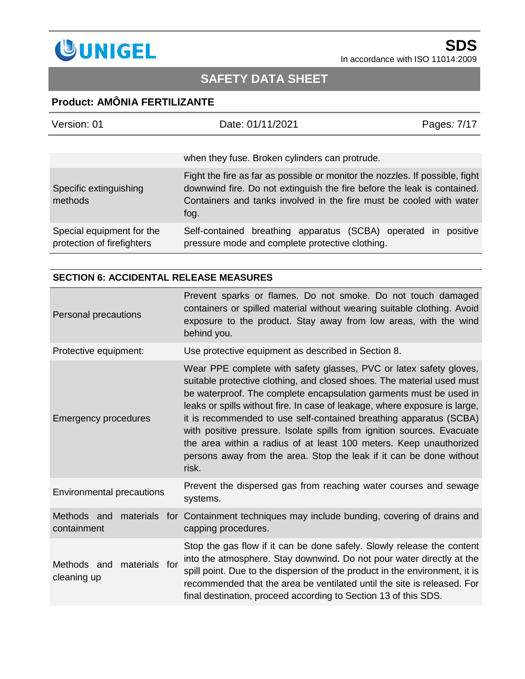

# **SAFETY DATA SHEET**

## **Product: AMÔNIA FERTILIZANTE**

| Version: 01                                             | Date: 01/11/2021                                                                                                                                                                                                                       | Pages: 7/17 |
|---------------------------------------------------------|----------------------------------------------------------------------------------------------------------------------------------------------------------------------------------------------------------------------------------------|-------------|
|                                                         | when they fuse. Broken cylinders can protrude.                                                                                                                                                                                         |             |
| Specific extinguishing<br>methods                       | Fight the fire as far as possible or monitor the nozzles. If possible, fight<br>downwind fire. Do not extinguish the fire before the leak is contained.<br>Containers and tanks involved in the fire must be cooled with water<br>fog. |             |
| Special equipment for the<br>protection of firefighters | Self-contained breathing apparatus (SCBA) operated in<br>pressure mode and complete protective clothing.                                                                                                                               | positive    |

#### **SECTION 6: ACCIDENTAL RELEASE MEASURES**

| Personal precautions                        | Prevent sparks or flames. Do not smoke. Do not touch damaged<br>containers or spilled material without wearing suitable clothing. Avoid<br>exposure to the product. Stay away from low areas, with the wind<br>behind you.                                                                                                                                                                                                                                                                                                                                                                             |  |
|---------------------------------------------|--------------------------------------------------------------------------------------------------------------------------------------------------------------------------------------------------------------------------------------------------------------------------------------------------------------------------------------------------------------------------------------------------------------------------------------------------------------------------------------------------------------------------------------------------------------------------------------------------------|--|
| Protective equipment:                       | Use protective equipment as described in Section 8.                                                                                                                                                                                                                                                                                                                                                                                                                                                                                                                                                    |  |
| <b>Emergency procedures</b>                 | Wear PPE complete with safety glasses, PVC or latex safety gloves,<br>suitable protective clothing, and closed shoes. The material used must<br>be waterproof. The complete encapsulation garments must be used in<br>leaks or spills without fire. In case of leakage, where exposure is large,<br>it is recommended to use self-contained breathing apparatus (SCBA)<br>with positive pressure. Isolate spills from ignition sources. Evacuate<br>the area within a radius of at least 100 meters. Keep unauthorized<br>persons away from the area. Stop the leak if it can be done without<br>risk. |  |
| <b>Environmental precautions</b>            | Prevent the dispersed gas from reaching water courses and sewage<br>systems.                                                                                                                                                                                                                                                                                                                                                                                                                                                                                                                           |  |
| Methods and<br>containment                  | materials for Containment techniques may include bunding, covering of drains and<br>capping procedures.                                                                                                                                                                                                                                                                                                                                                                                                                                                                                                |  |
| Methods and<br>materials for<br>cleaning up | Stop the gas flow if it can be done safely. Slowly release the content<br>into the atmosphere. Stay downwind. Do not pour water directly at the<br>spill point. Due to the dispersion of the product in the environment, it is<br>recommended that the area be ventilated until the site is released. For<br>final destination, proceed according to Section 13 of this SDS.                                                                                                                                                                                                                           |  |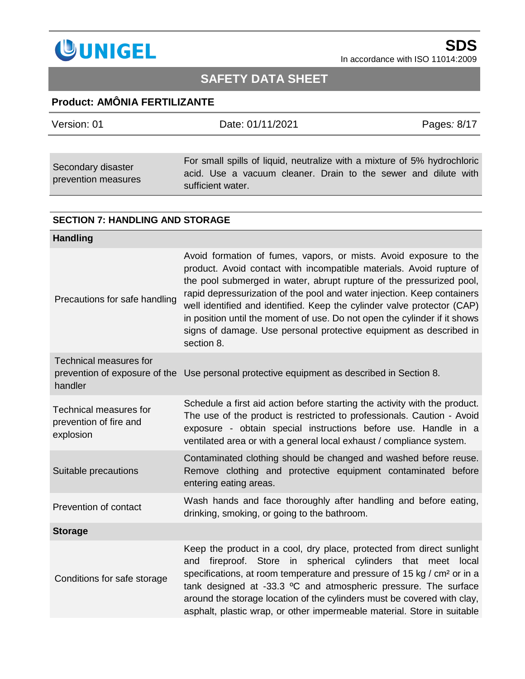

# **SAFETY DATA SHEET**

### **Product: AMÔNIA FERTILIZANTE**

| Version: 01                               | Date: 01/11/2021                                                                                                                                                | Pages: 8/17 |
|-------------------------------------------|-----------------------------------------------------------------------------------------------------------------------------------------------------------------|-------------|
|                                           |                                                                                                                                                                 |             |
| Secondary disaster<br>prevention measures | For small spills of liquid, neutralize with a mixture of 5% hydrochloric<br>acid. Use a vacuum cleaner. Drain to the sewer and dilute with<br>sufficient water. |             |

#### **SECTION 7: HANDLING AND STORAGE**

| Avoid formation of fumes, vapors, or mists. Avoid exposure to the<br>product. Avoid contact with incompatible materials. Avoid rupture of<br>the pool submerged in water, abrupt rupture of the pressurized pool,<br>rapid depressurization of the pool and water injection. Keep containers<br>well identified and identified. Keep the cylinder valve protector (CAP)<br>in position until the moment of use. Do not open the cylinder if it shows<br>signs of damage. Use personal protective equipment as described in<br>section 8. |
|------------------------------------------------------------------------------------------------------------------------------------------------------------------------------------------------------------------------------------------------------------------------------------------------------------------------------------------------------------------------------------------------------------------------------------------------------------------------------------------------------------------------------------------|
| prevention of exposure of the Use personal protective equipment as described in Section 8.                                                                                                                                                                                                                                                                                                                                                                                                                                               |
| Schedule a first aid action before starting the activity with the product.<br>The use of the product is restricted to professionals. Caution - Avoid<br>exposure - obtain special instructions before use. Handle in a<br>ventilated area or with a general local exhaust / compliance system.                                                                                                                                                                                                                                           |
| Contaminated clothing should be changed and washed before reuse.<br>Remove clothing and protective equipment contaminated before<br>entering eating areas.                                                                                                                                                                                                                                                                                                                                                                               |
| Wash hands and face thoroughly after handling and before eating,<br>drinking, smoking, or going to the bathroom.                                                                                                                                                                                                                                                                                                                                                                                                                         |
|                                                                                                                                                                                                                                                                                                                                                                                                                                                                                                                                          |
| Keep the product in a cool, dry place, protected from direct sunlight<br>fireproof. Store in spherical cylinders that meet local<br>and<br>specifications, at room temperature and pressure of 15 kg / cm <sup>2</sup> or in a<br>tank designed at -33.3 °C and atmospheric pressure. The surface<br>around the storage location of the cylinders must be covered with clay,<br>asphalt, plastic wrap, or other impermeable material. Store in suitable                                                                                  |
|                                                                                                                                                                                                                                                                                                                                                                                                                                                                                                                                          |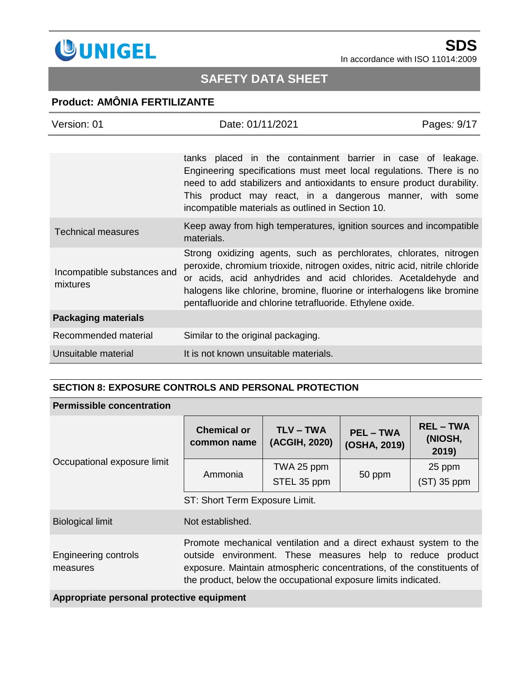

# **SAFETY DATA SHEET**

### **Product: AMÔNIA FERTILIZANTE**

| Version: 01                             | Date: 01/11/2021                                                                                                                                                                                                                                                                                                                                            | Pages: 9/17 |
|-----------------------------------------|-------------------------------------------------------------------------------------------------------------------------------------------------------------------------------------------------------------------------------------------------------------------------------------------------------------------------------------------------------------|-------------|
|                                         |                                                                                                                                                                                                                                                                                                                                                             |             |
|                                         | tanks placed in the containment barrier in case of leakage.<br>Engineering specifications must meet local regulations. There is no<br>need to add stabilizers and antioxidants to ensure product durability.<br>This product may react, in a dangerous manner, with some<br>incompatible materials as outlined in Section 10.                               |             |
| <b>Technical measures</b>               | Keep away from high temperatures, ignition sources and incompatible<br>materials.                                                                                                                                                                                                                                                                           |             |
| Incompatible substances and<br>mixtures | Strong oxidizing agents, such as perchlorates, chlorates, nitrogen<br>peroxide, chromium trioxide, nitrogen oxides, nitric acid, nitrile chloride<br>or acids, acid anhydrides and acid chlorides. Acetaldehyde and<br>halogens like chlorine, bromine, fluorine or interhalogens like bromine<br>pentafluoride and chlorine tetrafluoride. Ethylene oxide. |             |
| <b>Packaging materials</b>              |                                                                                                                                                                                                                                                                                                                                                             |             |
| Recommended material                    | Similar to the original packaging.                                                                                                                                                                                                                                                                                                                          |             |
| Unsuitable material                     | It is not known unsuitable materials.                                                                                                                                                                                                                                                                                                                       |             |

#### **SECTION 8: EXPOSURE CONTROLS AND PERSONAL PROTECTION**

#### **Permissible concentration**

| Occupational exposure limit      | <b>Chemical or</b><br>common name                                                                                                                                                                                                                                          | <b>TLV-TWA</b><br>(ACGIH, 2020) | <b>PEL-TWA</b><br>(OSHA, 2019) | <b>REL-TWA</b><br>(NIOSH,<br>2019) |
|----------------------------------|----------------------------------------------------------------------------------------------------------------------------------------------------------------------------------------------------------------------------------------------------------------------------|---------------------------------|--------------------------------|------------------------------------|
|                                  | Ammonia                                                                                                                                                                                                                                                                    | TWA 25 ppm<br>STEL 35 ppm       | 50 ppm                         | 25 ppm<br>$(ST)$ 35 ppm            |
|                                  | ST: Short Term Exposure Limit.                                                                                                                                                                                                                                             |                                 |                                |                                    |
| <b>Biological limit</b>          | Not established.                                                                                                                                                                                                                                                           |                                 |                                |                                    |
| Engineering controls<br>measures | Promote mechanical ventilation and a direct exhaust system to the<br>outside environment. These measures help to reduce product<br>exposure. Maintain atmospheric concentrations, of the constituents of<br>the product, below the occupational exposure limits indicated. |                                 |                                |                                    |

**Appropriate personal protective equipment**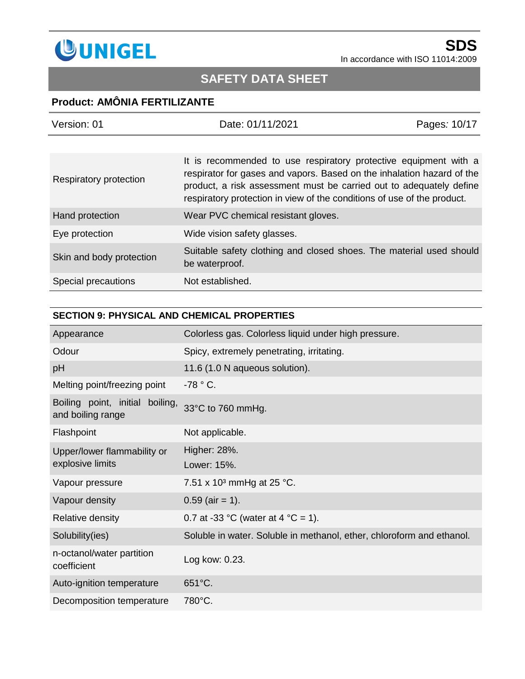

# **SAFETY DATA SHEET**

## **Product: AMÔNIA FERTILIZANTE**

| Version: 01              | Date: 01/11/2021                                                                                                                                                                                                                                                                             | Pages: 10/17 |
|--------------------------|----------------------------------------------------------------------------------------------------------------------------------------------------------------------------------------------------------------------------------------------------------------------------------------------|--------------|
|                          |                                                                                                                                                                                                                                                                                              |              |
| Respiratory protection   | It is recommended to use respiratory protective equipment with a<br>respirator for gases and vapors. Based on the inhalation hazard of the<br>product, a risk assessment must be carried out to adequately define<br>respiratory protection in view of the conditions of use of the product. |              |
| Hand protection          | Wear PVC chemical resistant gloves.                                                                                                                                                                                                                                                          |              |
| Eye protection           | Wide vision safety glasses.                                                                                                                                                                                                                                                                  |              |
| Skin and body protection | Suitable safety clothing and closed shoes. The material used should<br>be waterproof.                                                                                                                                                                                                        |              |
| Special precautions      | Not established.                                                                                                                                                                                                                                                                             |              |

#### **SECTION 9: PHYSICAL AND CHEMICAL PROPERTIES**

| Appearance                                              | Colorless gas. Colorless liquid under high pressure.                  |  |
|---------------------------------------------------------|-----------------------------------------------------------------------|--|
| Odour                                                   | Spicy, extremely penetrating, irritating.                             |  |
| pH                                                      | 11.6 (1.0 N aqueous solution).                                        |  |
| Melting point/freezing point                            | $-78 °C$ .                                                            |  |
| Boiling point, initial<br>boiling,<br>and boiling range | 33°C to 760 mmHg.                                                     |  |
| Flashpoint                                              | Not applicable.                                                       |  |
| Upper/lower flammability or                             | Higher: 28%.                                                          |  |
| explosive limits                                        | Lower: 15%.                                                           |  |
| Vapour pressure                                         | 7.51 x 10 <sup>3</sup> mmHg at 25 °C.                                 |  |
| Vapour density                                          | $0.59$ (air = 1).                                                     |  |
| Relative density                                        | 0.7 at -33 °C (water at 4 °C = 1).                                    |  |
| Solubility(ies)                                         | Soluble in water. Soluble in methanol, ether, chloroform and ethanol. |  |
| n-octanol/water partition<br>coefficient                | Log kow: 0.23.                                                        |  |
| Auto-ignition temperature                               | 651°C.                                                                |  |
| Decomposition temperature                               | 780°C.                                                                |  |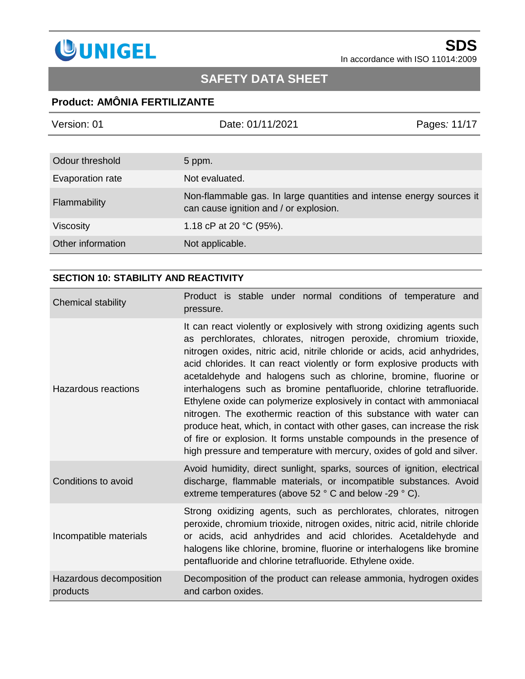

# **SAFETY DATA SHEET**

### **Product: AMÔNIA FERTILIZANTE**

| Version: 01       | Date: 01/11/2021                                                                                               | Pages: 11/17 |
|-------------------|----------------------------------------------------------------------------------------------------------------|--------------|
|                   |                                                                                                                |              |
| Odour threshold   | 5 ppm.                                                                                                         |              |
| Evaporation rate  | Not evaluated.                                                                                                 |              |
| Flammability      | Non-flammable gas. In large quantities and intense energy sources it<br>can cause ignition and / or explosion. |              |
| <b>Viscosity</b>  | 1.18 cP at 20 $°C$ (95%).                                                                                      |              |
| Other information | Not applicable.                                                                                                |              |

### **SECTION 10: STABILITY AND REACTIVITY**

| <b>Chemical stability</b>           | Product is stable under normal conditions of temperature and<br>pressure.                                                                                                                                                                                                                                                                                                                                                                                                                                                                                                                                                                                                                                                                                                                                                  |
|-------------------------------------|----------------------------------------------------------------------------------------------------------------------------------------------------------------------------------------------------------------------------------------------------------------------------------------------------------------------------------------------------------------------------------------------------------------------------------------------------------------------------------------------------------------------------------------------------------------------------------------------------------------------------------------------------------------------------------------------------------------------------------------------------------------------------------------------------------------------------|
| Hazardous reactions                 | It can react violently or explosively with strong oxidizing agents such<br>as perchlorates, chlorates, nitrogen peroxide, chromium trioxide,<br>nitrogen oxides, nitric acid, nitrile chloride or acids, acid anhydrides,<br>acid chlorides. It can react violently or form explosive products with<br>acetaldehyde and halogens such as chlorine, bromine, fluorine or<br>interhalogens such as bromine pentafluoride, chlorine tetrafluoride.<br>Ethylene oxide can polymerize explosively in contact with ammoniacal<br>nitrogen. The exothermic reaction of this substance with water can<br>produce heat, which, in contact with other gases, can increase the risk<br>of fire or explosion. It forms unstable compounds in the presence of<br>high pressure and temperature with mercury, oxides of gold and silver. |
| Conditions to avoid                 | Avoid humidity, direct sunlight, sparks, sources of ignition, electrical<br>discharge, flammable materials, or incompatible substances. Avoid<br>extreme temperatures (above 52 ° C and below -29 ° C).                                                                                                                                                                                                                                                                                                                                                                                                                                                                                                                                                                                                                    |
| Incompatible materials              | Strong oxidizing agents, such as perchlorates, chlorates, nitrogen<br>peroxide, chromium trioxide, nitrogen oxides, nitric acid, nitrile chloride<br>or acids, acid anhydrides and acid chlorides. Acetaldehyde and<br>halogens like chlorine, bromine, fluorine or interhalogens like bromine<br>pentafluoride and chlorine tetrafluoride. Ethylene oxide.                                                                                                                                                                                                                                                                                                                                                                                                                                                                |
| Hazardous decomposition<br>products | Decomposition of the product can release ammonia, hydrogen oxides<br>and carbon oxides.                                                                                                                                                                                                                                                                                                                                                                                                                                                                                                                                                                                                                                                                                                                                    |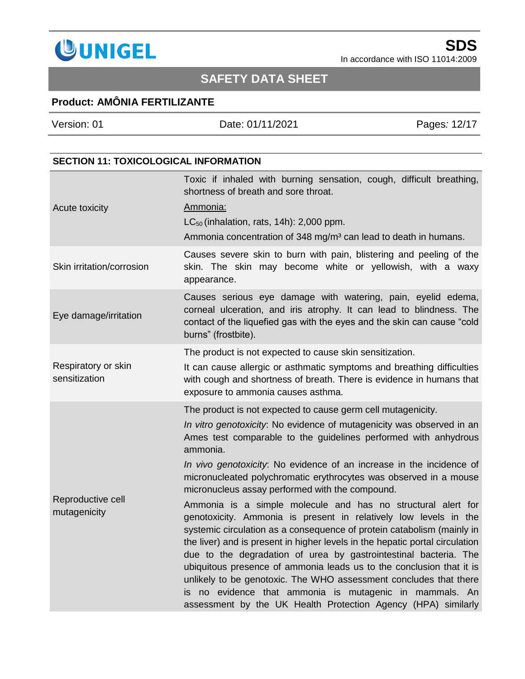

# **SAFETY DATA SHEET**

### **Product: AMÔNIA FERTILIZANTE**

Version: 01 Date: 01/11/2021 Pages*:* 12/17

#### **SECTION 11: TOXICOLOGICAL INFORMATION**

|                                                                                                                                                                                                                              | Toxic if inhaled with burning sensation, cough, difficult breathing,<br>shortness of breath and sore throat.                                                                                                                                                                                                                                                                                                                                                                                                                                                                                                                            |  |  |
|------------------------------------------------------------------------------------------------------------------------------------------------------------------------------------------------------------------------------|-----------------------------------------------------------------------------------------------------------------------------------------------------------------------------------------------------------------------------------------------------------------------------------------------------------------------------------------------------------------------------------------------------------------------------------------------------------------------------------------------------------------------------------------------------------------------------------------------------------------------------------------|--|--|
| Acute toxicity                                                                                                                                                                                                               | Ammonia:                                                                                                                                                                                                                                                                                                                                                                                                                                                                                                                                                                                                                                |  |  |
|                                                                                                                                                                                                                              | $LC_{50}$ (inhalation, rats, 14h): 2,000 ppm.                                                                                                                                                                                                                                                                                                                                                                                                                                                                                                                                                                                           |  |  |
|                                                                                                                                                                                                                              | Ammonia concentration of 348 mg/m <sup>3</sup> can lead to death in humans.                                                                                                                                                                                                                                                                                                                                                                                                                                                                                                                                                             |  |  |
| Skin irritation/corrosion                                                                                                                                                                                                    | Causes severe skin to burn with pain, blistering and peeling of the<br>skin. The skin may become white or yellowish, with a waxy<br>appearance.                                                                                                                                                                                                                                                                                                                                                                                                                                                                                         |  |  |
| Eye damage/irritation                                                                                                                                                                                                        | Causes serious eye damage with watering, pain, eyelid edema,<br>corneal ulceration, and iris atrophy. It can lead to blindness. The<br>contact of the liquefied gas with the eyes and the skin can cause "cold<br>burns" (frostbite).                                                                                                                                                                                                                                                                                                                                                                                                   |  |  |
|                                                                                                                                                                                                                              | The product is not expected to cause skin sensitization.                                                                                                                                                                                                                                                                                                                                                                                                                                                                                                                                                                                |  |  |
| Respiratory or skin<br>It can cause allergic or asthmatic symptoms and breathing difficulties<br>sensitization<br>with cough and shortness of breath. There is evidence in humans that<br>exposure to ammonia causes asthma. |                                                                                                                                                                                                                                                                                                                                                                                                                                                                                                                                                                                                                                         |  |  |
| Reproductive cell<br>mutagenicity                                                                                                                                                                                            | The product is not expected to cause germ cell mutagenicity.<br>In vitro genotoxicity. No evidence of mutagenicity was observed in an<br>Ames test comparable to the guidelines performed with anhydrous<br>ammonia.                                                                                                                                                                                                                                                                                                                                                                                                                    |  |  |
|                                                                                                                                                                                                                              | In vivo genotoxicity. No evidence of an increase in the incidence of<br>micronucleated polychromatic erythrocytes was observed in a mouse<br>micronucleus assay performed with the compound.                                                                                                                                                                                                                                                                                                                                                                                                                                            |  |  |
|                                                                                                                                                                                                                              | Ammonia is a simple molecule and has no structural alert for<br>genotoxicity. Ammonia is present in relatively low levels in the<br>systemic circulation as a consequence of protein catabolism (mainly in<br>the liver) and is present in higher levels in the hepatic portal circulation<br>due to the degradation of urea by gastrointestinal bacteria. The<br>ubiquitous presence of ammonia leads us to the conclusion that it is<br>unlikely to be genotoxic. The WHO assessment concludes that there<br>is no evidence that ammonia is mutagenic in mammals. An<br>assessment by the UK Health Protection Agency (HPA) similarly |  |  |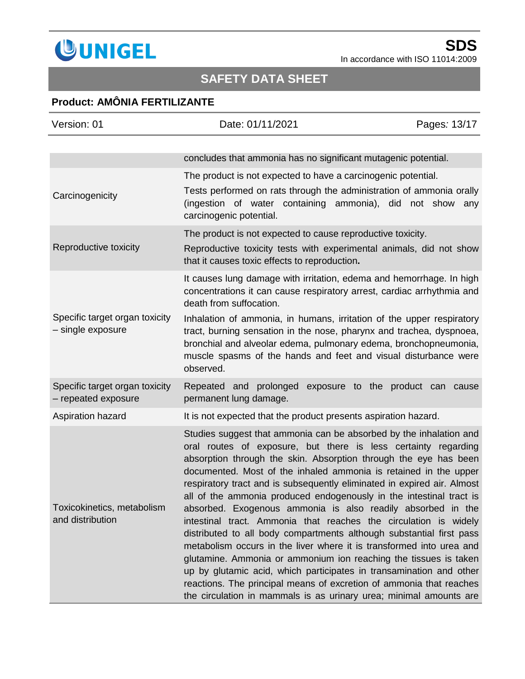

# **SAFETY DATA SHEET**

### **Product: AMÔNIA FERTILIZANTE**

| Version: 01                                           | Date: 01/11/2021                                                                                                                                                                                                                                                                                                                                                                                                                                                                                                                                                                                                                                                                                                                                                                                                                                                                                                                                                                                          | Pages: 13/17 |
|-------------------------------------------------------|-----------------------------------------------------------------------------------------------------------------------------------------------------------------------------------------------------------------------------------------------------------------------------------------------------------------------------------------------------------------------------------------------------------------------------------------------------------------------------------------------------------------------------------------------------------------------------------------------------------------------------------------------------------------------------------------------------------------------------------------------------------------------------------------------------------------------------------------------------------------------------------------------------------------------------------------------------------------------------------------------------------|--------------|
|                                                       | concludes that ammonia has no significant mutagenic potential.                                                                                                                                                                                                                                                                                                                                                                                                                                                                                                                                                                                                                                                                                                                                                                                                                                                                                                                                            |              |
| Carcinogenicity                                       | The product is not expected to have a carcinogenic potential.<br>Tests performed on rats through the administration of ammonia orally<br>(ingestion of water containing ammonia), did not show any<br>carcinogenic potential.                                                                                                                                                                                                                                                                                                                                                                                                                                                                                                                                                                                                                                                                                                                                                                             |              |
| Reproductive toxicity                                 | The product is not expected to cause reproductive toxicity.<br>Reproductive toxicity tests with experimental animals, did not show<br>that it causes toxic effects to reproduction.                                                                                                                                                                                                                                                                                                                                                                                                                                                                                                                                                                                                                                                                                                                                                                                                                       |              |
|                                                       | It causes lung damage with irritation, edema and hemorrhage. In high<br>concentrations it can cause respiratory arrest, cardiac arrhythmia and<br>death from suffocation.                                                                                                                                                                                                                                                                                                                                                                                                                                                                                                                                                                                                                                                                                                                                                                                                                                 |              |
| Specific target organ toxicity<br>- single exposure   | Inhalation of ammonia, in humans, irritation of the upper respiratory<br>tract, burning sensation in the nose, pharynx and trachea, dyspnoea,<br>bronchial and alveolar edema, pulmonary edema, bronchopneumonia,<br>muscle spasms of the hands and feet and visual disturbance were<br>observed.                                                                                                                                                                                                                                                                                                                                                                                                                                                                                                                                                                                                                                                                                                         |              |
| Specific target organ toxicity<br>- repeated exposure | Repeated and prolonged exposure to the product can cause<br>permanent lung damage.                                                                                                                                                                                                                                                                                                                                                                                                                                                                                                                                                                                                                                                                                                                                                                                                                                                                                                                        |              |
| Aspiration hazard                                     | It is not expected that the product presents aspiration hazard.                                                                                                                                                                                                                                                                                                                                                                                                                                                                                                                                                                                                                                                                                                                                                                                                                                                                                                                                           |              |
| Toxicokinetics, metabolism<br>and distribution        | Studies suggest that ammonia can be absorbed by the inhalation and<br>oral routes of exposure, but there is less certainty regarding<br>absorption through the skin. Absorption through the eye has been<br>documented. Most of the inhaled ammonia is retained in the upper<br>respiratory tract and is subsequently eliminated in expired air. Almost<br>all of the ammonia produced endogenously in the intestinal tract is<br>absorbed. Exogenous ammonia is also readily absorbed in the<br>intestinal tract. Ammonia that reaches the circulation is widely<br>distributed to all body compartments although substantial first pass<br>metabolism occurs in the liver where it is transformed into urea and<br>glutamine. Ammonia or ammonium ion reaching the tissues is taken<br>up by glutamic acid, which participates in transamination and other<br>reactions. The principal means of excretion of ammonia that reaches<br>the circulation in mammals is as urinary urea; minimal amounts are |              |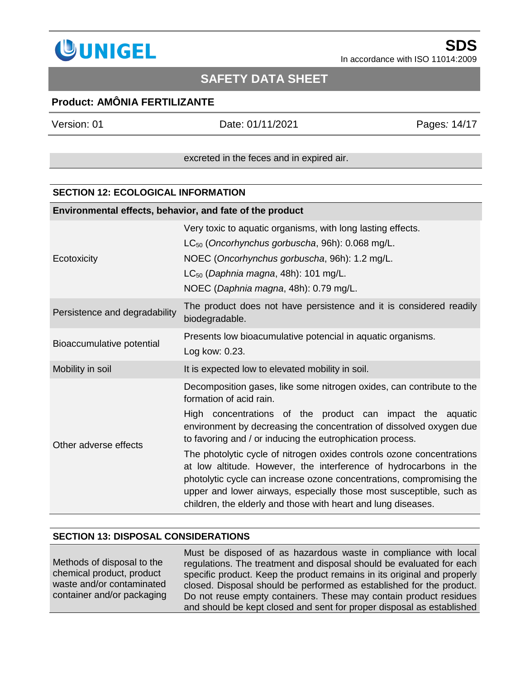

### **SAFETY DATA SHEET**

### **Product: AMÔNIA FERTILIZANTE**

Version: 01 Date: 01/11/2021 Pages*:* 14/17

excreted in the feces and in expired air.

#### **SECTION 12: ECOLOGICAL INFORMATION**

| Environmental effects, behavior, and fate of the product |                                                                                                                                                                                                                                                                                                                                                                                                                                                                                                                                                                                                                                                                 |  |
|----------------------------------------------------------|-----------------------------------------------------------------------------------------------------------------------------------------------------------------------------------------------------------------------------------------------------------------------------------------------------------------------------------------------------------------------------------------------------------------------------------------------------------------------------------------------------------------------------------------------------------------------------------------------------------------------------------------------------------------|--|
| Ecotoxicity                                              | Very toxic to aquatic organisms, with long lasting effects.<br>$LC_{50}$ (Oncorhynchus gorbuscha, 96h): 0.068 mg/L.<br>NOEC (Oncorhynchus gorbuscha, 96h): 1.2 mg/L.<br>$LC_{50}$ (Daphnia magna, 48h): 101 mg/L.<br>NOEC (Daphnia magna, 48h): 0.79 mg/L.                                                                                                                                                                                                                                                                                                                                                                                                      |  |
| Persistence and degradability                            | The product does not have persistence and it is considered readily<br>biodegradable.                                                                                                                                                                                                                                                                                                                                                                                                                                                                                                                                                                            |  |
| Bioaccumulative potential                                | Presents low bioacumulative potencial in aquatic organisms.<br>Log kow: 0.23.                                                                                                                                                                                                                                                                                                                                                                                                                                                                                                                                                                                   |  |
| Mobility in soil                                         | It is expected low to elevated mobility in soil.                                                                                                                                                                                                                                                                                                                                                                                                                                                                                                                                                                                                                |  |
| Other adverse effects                                    | Decomposition gases, like some nitrogen oxides, can contribute to the<br>formation of acid rain.<br>High concentrations of the product can impact the aquatic<br>environment by decreasing the concentration of dissolved oxygen due<br>to favoring and / or inducing the eutrophication process.<br>The photolytic cycle of nitrogen oxides controls ozone concentrations<br>at low altitude. However, the interference of hydrocarbons in the<br>photolytic cycle can increase ozone concentrations, compromising the<br>upper and lower airways, especially those most susceptible, such as<br>children, the elderly and those with heart and lung diseases. |  |

#### **SECTION 13: DISPOSAL CONSIDERATIONS**

Methods of disposal to the chemical product, product waste and/or contaminated container and/or packaging Must be disposed of as hazardous waste in compliance with local regulations. The treatment and disposal should be evaluated for each specific product. Keep the product remains in its original and properly closed. Disposal should be performed as established for the product. Do not reuse empty containers. These may contain product residues and should be kept closed and sent for proper disposal as established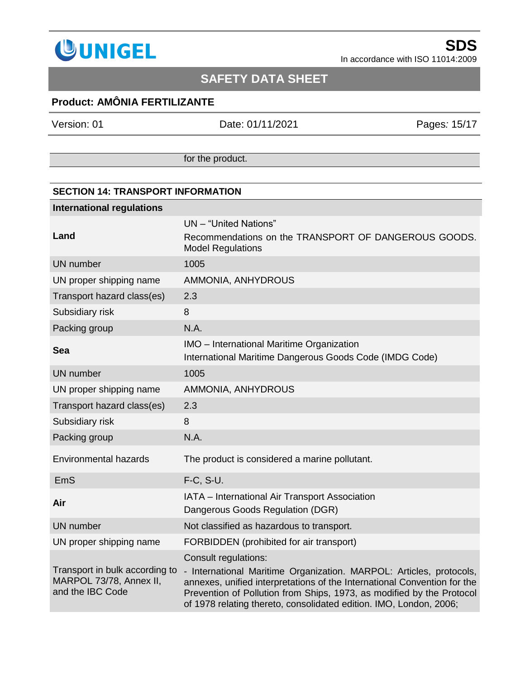

### **SAFETY DATA SHEET**

### **Product: AMÔNIA FERTILIZANTE**

Version: 01 Date: 01/11/2021 Pages*:* 15/17

for the product.

### **SECTION 14: TRANSPORT INFORMATION International regulations Land** UN – "United Nations" Recommendations on the TRANSPORT OF DANGEROUS GOODS. Model Regulations UN number 1005 UN proper shipping name AMMONIA, ANHYDROUS Transport hazard class(es) 2.3 Subsidiary risk 8 Packing group N.A. **Sea IMO** – International Maritime Organization International Maritime Dangerous Goods Code (IMDG Code) UN number 1005 UN proper shipping name AMMONIA, ANHYDROUS Transport hazard class(es) 2.3 Subsidiary risk 8 Packing group N.A. Environmental hazards The product is considered a marine pollutant. EmS F-C, S-U. **Air** IATA – International Air Transport Association Dangerous Goods Regulation (DGR) UN number Not classified as hazardous to transport. UN proper shipping name FORBIDDEN (prohibited for air transport) Transport in bulk according to MARPOL 73/78, Annex II, and the IBC Code Consult regulations: - International Maritime Organization. MARPOL: Articles, protocols, annexes, unified interpretations of the International Convention for the Prevention of Pollution from Ships, 1973, as modified by the Protocol

of 1978 relating thereto, consolidated edition. IMO, London, 2006;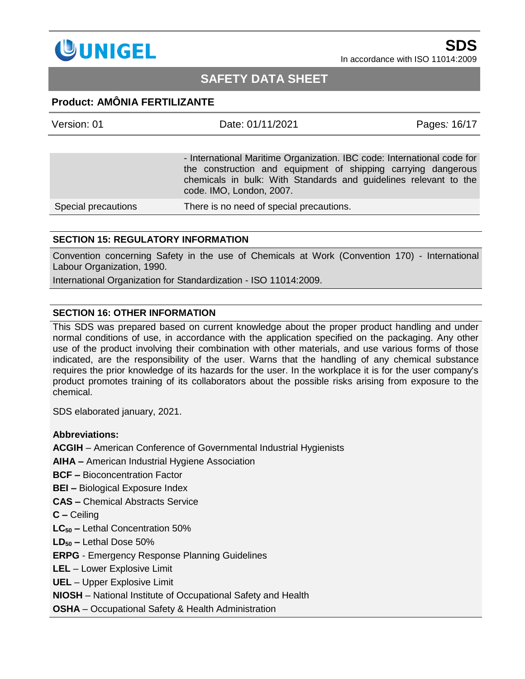

### **SAFETY DATA SHEET**

### **Product: AMÔNIA FERTILIZANTE**

| Version: 01         | Date: 01/11/2021                                                                                                                                                                                                                         | Pages: 16/17 |
|---------------------|------------------------------------------------------------------------------------------------------------------------------------------------------------------------------------------------------------------------------------------|--------------|
|                     |                                                                                                                                                                                                                                          |              |
|                     | - International Maritime Organization. IBC code: International code for<br>the construction and equipment of shipping carrying dangerous<br>chemicals in bulk: With Standards and guidelines relevant to the<br>code. IMO, London, 2007. |              |
| Special precautions | There is no need of special precautions.                                                                                                                                                                                                 |              |

#### **SECTION 15: REGULATORY INFORMATION**

Convention concerning Safety in the use of Chemicals at Work (Convention 170) - International Labour Organization, 1990.

International Organization for Standardization - ISO 11014:2009.

#### **SECTION 16: OTHER INFORMATION**

This SDS was prepared based on current knowledge about the proper product handling and under normal conditions of use, in accordance with the application specified on the packaging. Any other use of the product involving their combination with other materials, and use various forms of those indicated, are the responsibility of the user. Warns that the handling of any chemical substance requires the prior knowledge of its hazards for the user. In the workplace it is for the user company's product promotes training of its collaborators about the possible risks arising from exposure to the chemical.

SDS elaborated january, 2021.

#### **Abbreviations:**

**ACGIH** – American Conference of Governmental Industrial Hygienists

**AIHA –** American Industrial Hygiene Association

**BCF –** Bioconcentration Factor

**BEI –** Biological Exposure Index

**CAS –** Chemical Abstracts Service

**C –** Ceiling

**LC<sup>50</sup> –** Lethal Concentration 50%

**LD<sup>50</sup> –** Lethal Dose 50%

**ERPG** - Emergency Response Planning Guidelines

**LEL** – Lower Explosive Limit

**UEL** – Upper Explosive Limit

**NIOSH** – [National Institute of Occupational Safety and Health](http://www.niosh.com.my/)

**OSHA** – Occupational Safety & Health Administration